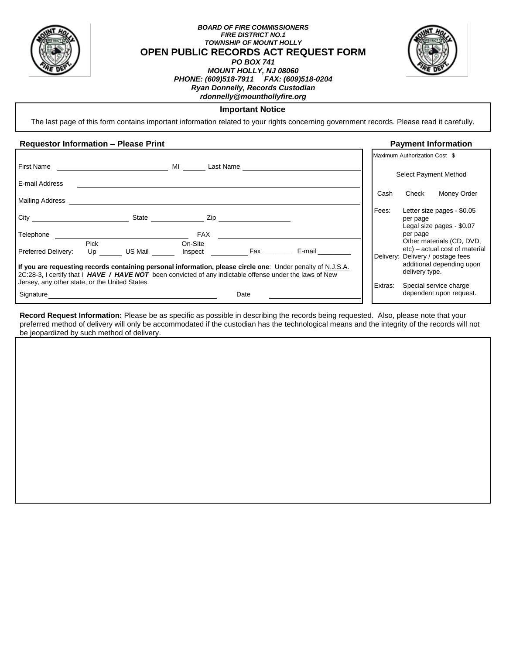

# *BOARD OF FIRE COMMISSIONERS FIRE DISTRICT NO.1 TOWNSHIP OF MOUNT HOLLY* **OPEN PUBLIC RECORDS ACT REQUEST FORM**



## *PO BOX 741 MOUNT HOLLY, NJ 08060 PHONE: (609)518-7911 FAX: (609)518-0204 Ryan Donnelly, Records Custodian rdonnelly@mounthollyfire.org*

# **Important Notice**

The last page of this form contains important information related to your rights concerning government records. Please read it carefully.

# **Requestor Information – Please Print Payment Information**

|                                                                                                                                                                                                                                                                           |                   |         |                    |           |        |         | Maximum Authorization Cost \$                                                                    |
|---------------------------------------------------------------------------------------------------------------------------------------------------------------------------------------------------------------------------------------------------------------------------|-------------------|---------|--------------------|-----------|--------|---------|--------------------------------------------------------------------------------------------------|
| First Name                                                                                                                                                                                                                                                                |                   |         | МI                 | Last Name |        |         | Select Payment Method                                                                            |
| E-mail Address                                                                                                                                                                                                                                                            |                   |         |                    |           |        |         |                                                                                                  |
| <b>Mailing Address</b>                                                                                                                                                                                                                                                    |                   |         |                    |           |        | Cash    | Check<br>Money Order                                                                             |
| City                                                                                                                                                                                                                                                                      |                   | State   | Zip                |           |        | Fees:   | Letter size pages - \$0.05<br>per page<br>Legal size pages - \$0.07                              |
| Telephone                                                                                                                                                                                                                                                                 |                   |         | <b>FAX</b>         |           |        |         | per page                                                                                         |
| Preferred Delivery:                                                                                                                                                                                                                                                       | <b>Pick</b><br>Up | US Mail | On-Site<br>Inspect | Fax       | E-mail |         | Other materials (CD, DVD,<br>etc) - actual cost of material<br>Delivery: Delivery / postage fees |
| If you are requesting records containing personal information, please circle one: Under penalty of N.J.S.A.<br>2C:28-3, I certify that I HAVE / HAVE NOT been convicted of any indictable offense under the laws of New<br>Jersey, any other state, or the United States. |                   |         |                    |           |        |         | additional depending upon<br>delivery type.                                                      |
| Signature                                                                                                                                                                                                                                                                 |                   |         |                    | Date      |        | Extras: | Special service charge<br>dependent upon request.                                                |
|                                                                                                                                                                                                                                                                           |                   |         |                    |           |        |         |                                                                                                  |

**Record Request Information:** Please be as specific as possible in describing the records being requested. Also, please note that your preferred method of delivery will only be accommodated if the custodian has the technological means and the integrity of the records will not be jeopardized by such method of delivery.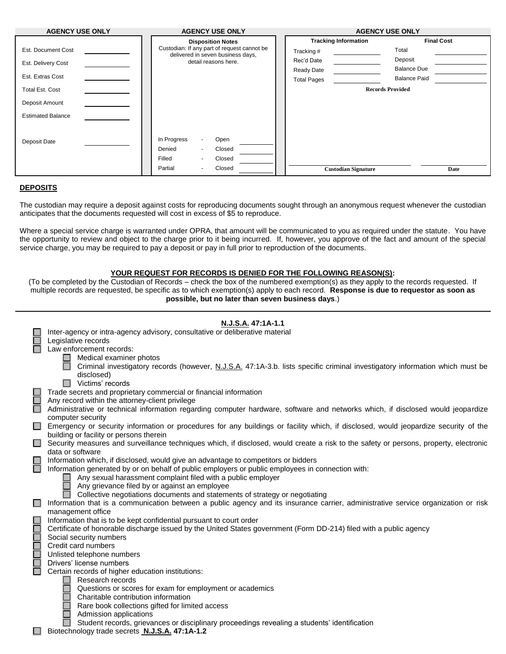| <b>Final Cost</b><br><b>Tracking Information</b><br><b>Disposition Notes</b><br>Custodian: If any part of request cannot be<br>Est. Document Cost<br>Total<br>Tracking #<br>delivered in seven business days,<br>Deposit<br>Rec'd Date<br>detail reasons here.<br>Est. Delivery Cost<br><b>Balance Due</b><br>Ready Date<br>Est. Extras Cost<br><b>Balance Paid</b><br><b>Total Pages</b><br><b>Records Provided</b><br><b>Total Est. Cost</b><br>Deposit Amount<br><b>Estimated Balance</b><br>In Progress<br>Open<br>$\sim$<br>Deposit Date<br>Closed<br>Denied<br>$\blacksquare$<br>Filled<br>Closed<br>$\sim$ | <b>AGENCY USE ONLY</b> | <b>AGENCY USE ONLY</b> | <b>AGENCY USE ONLY</b> |  |  |
|-------------------------------------------------------------------------------------------------------------------------------------------------------------------------------------------------------------------------------------------------------------------------------------------------------------------------------------------------------------------------------------------------------------------------------------------------------------------------------------------------------------------------------------------------------------------------------------------------------------------|------------------------|------------------------|------------------------|--|--|
|                                                                                                                                                                                                                                                                                                                                                                                                                                                                                                                                                                                                                   |                        |                        |                        |  |  |
|                                                                                                                                                                                                                                                                                                                                                                                                                                                                                                                                                                                                                   |                        |                        |                        |  |  |
|                                                                                                                                                                                                                                                                                                                                                                                                                                                                                                                                                                                                                   |                        |                        |                        |  |  |
|                                                                                                                                                                                                                                                                                                                                                                                                                                                                                                                                                                                                                   |                        |                        |                        |  |  |
|                                                                                                                                                                                                                                                                                                                                                                                                                                                                                                                                                                                                                   |                        |                        |                        |  |  |
|                                                                                                                                                                                                                                                                                                                                                                                                                                                                                                                                                                                                                   |                        |                        |                        |  |  |
|                                                                                                                                                                                                                                                                                                                                                                                                                                                                                                                                                                                                                   |                        |                        |                        |  |  |
|                                                                                                                                                                                                                                                                                                                                                                                                                                                                                                                                                                                                                   |                        |                        |                        |  |  |
|                                                                                                                                                                                                                                                                                                                                                                                                                                                                                                                                                                                                                   |                        |                        |                        |  |  |
|                                                                                                                                                                                                                                                                                                                                                                                                                                                                                                                                                                                                                   |                        |                        |                        |  |  |
|                                                                                                                                                                                                                                                                                                                                                                                                                                                                                                                                                                                                                   |                        |                        |                        |  |  |
|                                                                                                                                                                                                                                                                                                                                                                                                                                                                                                                                                                                                                   |                        |                        |                        |  |  |
| Closed<br>Partial<br><b>Custodian Signature</b><br>Date<br>۰                                                                                                                                                                                                                                                                                                                                                                                                                                                                                                                                                      |                        |                        |                        |  |  |

# **DEPOSITS**

The custodian may require a deposit against costs for reproducing documents sought through an anonymous request whenever the custodian anticipates that the documents requested will cost in excess of \$5 to reproduce.

Where a special service charge is warranted under OPRA, that amount will be communicated to you as required under the statute. You have the opportunity to review and object to the charge prior to it being incurred. If, however, you approve of the fact and amount of the special service charge, you may be required to pay a deposit or pay in full prior to reproduction of the documents.

# **YOUR REQUEST FOR RECORDS IS DENIED FOR THE FOLLOWING REASON(S):**

(To be completed by the Custodian of Records – check the box of the numbered exemption(s) as they apply to the records requested. If multiple records are requested, be specific as to which exemption(s) apply to each record. **Response is due to requestor as soon as possible, but no later than seven business days**.)

|                          | N.J.S.A. 47:1A-1.1                                                                                                                                                             |  |  |  |  |
|--------------------------|--------------------------------------------------------------------------------------------------------------------------------------------------------------------------------|--|--|--|--|
|                          | Inter-agency or intra-agency advisory, consultative or deliberative material                                                                                                   |  |  |  |  |
|                          | Legislative records                                                                                                                                                            |  |  |  |  |
|                          | Law enforcement records:                                                                                                                                                       |  |  |  |  |
|                          | Medical examiner photos                                                                                                                                                        |  |  |  |  |
|                          | Criminal investigatory records (however, N.J.S.A. 47:1A-3.b. lists specific criminal investigatory information which must be<br>disclosed)                                     |  |  |  |  |
|                          | Victims' records                                                                                                                                                               |  |  |  |  |
|                          | Trade secrets and proprietary commercial or financial information                                                                                                              |  |  |  |  |
| Ĕ                        | Any record within the attorney-client privilege                                                                                                                                |  |  |  |  |
|                          | Administrative or technical information regarding computer hardware, software and networks which, if disclosed would jeopardize<br>computer security                           |  |  |  |  |
| $\Box$                   |                                                                                                                                                                                |  |  |  |  |
|                          | Emergency or security information or procedures for any buildings or facility which, if disclosed, would jeopardize security of the<br>building or facility or persons therein |  |  |  |  |
| <b>The State</b>         | Security measures and surveillance techniques which, if disclosed, would create a risk to the safety or persons, property, electronic                                          |  |  |  |  |
|                          | data or software                                                                                                                                                               |  |  |  |  |
|                          | Information which, if disclosed, would give an advantage to competitors or bidders                                                                                             |  |  |  |  |
| $\overline{\phantom{a}}$ | Information generated by or on behalf of public employers or public employees in connection with:                                                                              |  |  |  |  |
|                          | Any sexual harassment complaint filed with a public employer                                                                                                                   |  |  |  |  |
|                          | Any grievance filed by or against an employee                                                                                                                                  |  |  |  |  |
|                          | Collective negotiations documents and statements of strategy or negotiating                                                                                                    |  |  |  |  |
|                          | Information that is a communication between a public agency and its insurance carrier, administrative service organization or risk                                             |  |  |  |  |
|                          | management office                                                                                                                                                              |  |  |  |  |
|                          | Information that is to be kept confidential pursuant to court order                                                                                                            |  |  |  |  |
| <b>NOODDOC</b>           | Certificate of honorable discharge issued by the United States government (Form DD-214) filed with a public agency                                                             |  |  |  |  |
|                          | Social security numbers                                                                                                                                                        |  |  |  |  |
|                          | Credit card numbers                                                                                                                                                            |  |  |  |  |
|                          | Unlisted telephone numbers                                                                                                                                                     |  |  |  |  |
|                          | Drivers' license numbers                                                                                                                                                       |  |  |  |  |
|                          | Certain records of higher education institutions:                                                                                                                              |  |  |  |  |
|                          | Research records                                                                                                                                                               |  |  |  |  |
|                          | Questions or scores for exam for employment or academics<br>Charitable contribution information                                                                                |  |  |  |  |
|                          | Rare book collections gifted for limited access                                                                                                                                |  |  |  |  |
|                          | Admission applications                                                                                                                                                         |  |  |  |  |
|                          | Student records, grievances or disciplinary proceedings revealing a students' identification                                                                                   |  |  |  |  |
|                          | Biotechnology trade secrets N.J.S.A. 47:1A-1.2                                                                                                                                 |  |  |  |  |
|                          |                                                                                                                                                                                |  |  |  |  |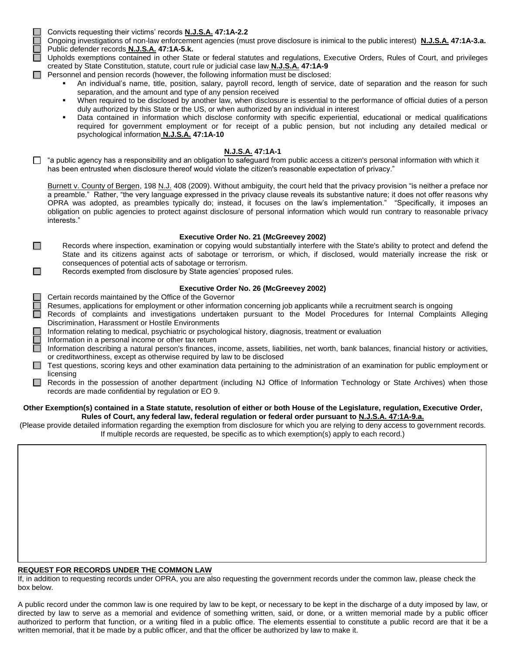Convicts requesting their victims' records **N.J.S.A. 47:1A-2.2**

Ongoing investigations of non-law enforcement agencies (must prove disclosure is inimical to the public interest) **N.J.S.A. 47:1A-3.a.** Public defender records **N.J.S.A. 47:1A-5.k.**

□ Upholds exemptions contained in other State or federal statutes and regulations, Executive Orders, Rules of Court, and privileges created by State Constitution, statute, court rule or judicial case law **N.J.S.A. 47:1A-9**

- $\Box$  Personnel and pension records (however, the following information must be disclosed:
	- An individual's name, title, position, salary, payroll record, length of service, date of separation and the reason for such separation, and the amount and type of any pension received
	- When required to be disclosed by another law, when disclosure is essential to the performance of official duties of a person duly authorized by this State or the US, or when authorized by an individual in interest
	- Data contained in information which disclose conformity with specific experiential, educational or medical qualifications required for government employment or for receipt of a public pension, but not including any detailed medical or psychological information **N.J.S.A. 47:1A-10**

#### **N.J.S.A. 47:1A-1**

 $\Box$  "a public agency has a responsibility and an obligation to safeguard from public access a citizen's personal information with which it has been entrusted when disclosure thereof would violate the citizen's reasonable expectation of privacy."

Burnett v. County of Bergen, 198 N.J. 408 (2009). Without ambiguity, the court held that the privacy provision "is neither a preface nor a preamble." Rather, "the very language expressed in the privacy clause reveals its substantive nature; it does not offer reasons why OPRA was adopted, as preambles typically do; instead, it focuses on the law's implementation." "Specifically, it imposes an obligation on public agencies to protect against disclosure of personal information which would run contrary to reasonable privacy interests."

#### **Executive Order No. 21 (McGreevey 2002)**

- Records where inspection, examination or copying would substantially interfere with the State's ability to protect and defend the State and its citizens against acts of sabotage or terrorism, or which, if disclosed, would materially increase the risk or consequences of potential acts of sabotage or terrorism.
- Records exempted from disclosure by State agencies' proposed rules.

#### **Executive Order No. 26 (McGreevey 2002)**

Certain records maintained by the Office of the Governor

 $\Box$ 

 $\Box$ 

- Resumes, applications for employment or other information concerning job applicants while a recruitment search is ongoing
- Records of complaints and investigations undertaken pursuant to the Model Procedures for Internal Complaints Alleging Discrimination, Harassment or Hostile Environments
	- Information relating to medical, psychiatric or psychological history, diagnosis, treatment or evaluation
	- Information in a personal income or other tax return
	- Information describing a natural person's finances, income, assets, liabilities, net worth, bank balances, financial history or activities, or creditworthiness, except as otherwise required by law to be disclosed
- Test questions, scoring keys and other examination data pertaining to the administration of an examination for public employment or licensing
- Records in the possession of another department (including NJ Office of Information Technology or State Archives) when those records are made confidential by regulation or EO 9.

#### **Other Exemption(s) contained in a State statute, resolution of either or both House of the Legislature, regulation, Executive Order, Rules of Court, any federal law, federal regulation or federal order pursuant to N.J.S.A. 47:1A-9.a.**

(Please provide detailed information regarding the exemption from disclosure for which you are relying to deny access to government records. If multiple records are requested, be specific as to which exemption(s) apply to each record.)

#### **REQUEST FOR RECORDS UNDER THE COMMON LAW**

If, in addition to requesting records under OPRA, you are also requesting the government records under the common law, please check the box below.

A public record under the common law is one required by law to be kept, or necessary to be kept in the discharge of a duty imposed by law, or directed by law to serve as a memorial and evidence of something written, said, or done, or a written memorial made by a public officer authorized to perform that function, or a writing filed in a public office. The elements essential to constitute a public record are that it be a written memorial, that it be made by a public officer, and that the officer be authorized by law to make it.